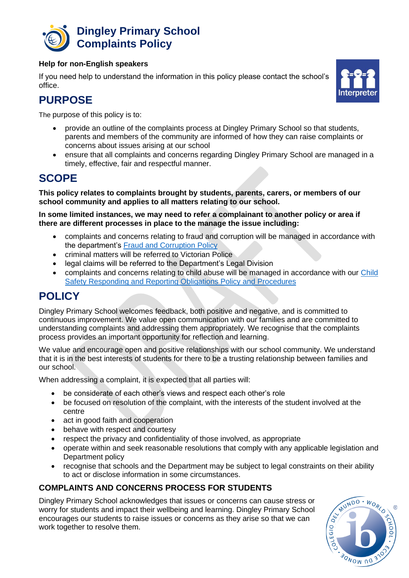

#### **Help for non-English speakers**

If you need help to understand the information in this policy please contact the school's office.



# **PURPOSE**

The purpose of this policy is to:

- provide an outline of the complaints process at Dingley Primary School so that students, parents and members of the community are informed of how they can raise complaints or concerns about issues arising at our school
- ensure that all complaints and concerns regarding Dingley Primary School are managed in a timely, effective, fair and respectful manner.

### **SCOPE**

**This policy relates to complaints brought by students, parents, carers, or members of our school community and applies to all matters relating to our school.** 

**In some limited instances, we may need to refer a complainant to another policy or area if there are different processes in place to the manage the issue including:** 

- complaints and concerns relating to fraud and corruption will be managed in accordance with the department's [Fraud and Corruption Policy](https://www2.education.vic.gov.au/pal/report-fraud-or-corruption/overview)
- criminal matters will be referred to Victorian Police
- legal claims will be referred to the Department's Legal Division
- complaints and concerns relating to child abuse will be managed in accordance with our [Child](http://dingleyps.vic.edu.au/components/promo-blocks.html)  [Safety Responding and Reporting Obligations Policy and Procedures](http://dingleyps.vic.edu.au/components/promo-blocks.html)

### **POLICY**

Dingley Primary School welcomes feedback, both positive and negative, and is committed to continuous improvement. We value open communication with our families and are committed to understanding complaints and addressing them appropriately. We recognise that the complaints process provides an important opportunity for reflection and learning.

We value and encourage open and positive relationships with our school community. We understand that it is in the best interests of students for there to be a trusting relationship between families and our school.

When addressing a complaint, it is expected that all parties will:

- be considerate of each other's views and respect each other's role
- be focused on resolution of the complaint, with the interests of the student involved at the centre
- act in good faith and cooperation
- behave with respect and courtesy
- respect the privacy and confidentiality of those involved, as appropriate
- operate within and seek reasonable resolutions that comply with any applicable legislation and Department policy
- recognise that schools and the Department may be subject to legal constraints on their ability to act or disclose information in some circumstances.

### **COMPLAINTS AND CONCERNS PROCESS FOR STUDENTS**

Dingley Primary School acknowledges that issues or concerns can cause stress or worry for students and impact their wellbeing and learning. Dingley Primary School encourages our students to raise issues or concerns as they arise so that we can work together to resolve them.

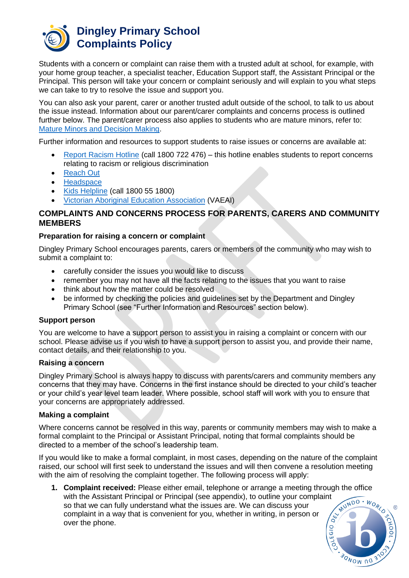

### **Dingley Primary School Complaints Policy**

Students with a concern or complaint can raise them with a trusted adult at school, for example, with your home group teacher, a specialist teacher, Education Support staff, the Assistant Principal or the Principal. This person will take your concern or complaint seriously and will explain to you what steps we can take to try to resolve the issue and support you.

You can also ask your parent, carer or another trusted adult outside of the school, to talk to us about the issue instead. Information about our parent/carer complaints and concerns process is outlined further below. The parent/carer process also applies to students who are mature minors, refer to: [Mature Minors and Decision Making.](https://www2.education.vic.gov.au/pal/mature-minors-and-decision-making/policy)

Further information and resources to support students to raise issues or concerns are available at:

- [Report Racism Hotline](https://www.vic.gov.au/report-racism-or-religious-discrimination-schools) (call 1800 722 476) this hotline enables students to report concerns relating to racism or religious discrimination
- [Reach Out](https://au.reachout.com/?gclid=CjwKCAiAgbiQBhAHEiwAuQ6BktaB5xneGFK3TnOql5c5eZ7af7dDm9ffLZa7N59FEtbtQzVIk8sGWhoC8N0QAvD_BwE)
- [Headspace](https://headspace.org.au/)
- [Kids Helpline](https://kidshelpline.com.au/?gclid=CjwKCAiAgbiQBhAHEiwAuQ6Bkro6UD2EBcRILznFnRhKjfi5I84jJlUa0fyiiYLQ4mHx5sXTStxH8BoCCEIQAvD_BwE) (call 1800 55 1800)
- [Victorian Aboriginal Education Association](https://www.vaeai.org.au/) (VAEAI)

#### **COMPLAINTS AND CONCERNS PROCESS FOR PARENTS, CARERS AND COMMUNITY MEMBERS**

#### **Preparation for raising a concern or complaint**

Dingley Primary School encourages parents, carers or members of the community who may wish to submit a complaint to:

- carefully consider the issues you would like to discuss
- remember you may not have all the facts relating to the issues that you want to raise
- think about how the matter could be resolved
- be informed by checking the policies and guidelines set by the Department and Dingley Primary School (see "Further Information and Resources" section below).

#### **Support person**

You are welcome to have a support person to assist you in raising a complaint or concern with our school. Please advise us if you wish to have a support person to assist you, and provide their name, contact details, and their relationship to you.

#### **Raising a concern**

Dingley Primary School is always happy to discuss with parents/carers and community members any concerns that they may have. Concerns in the first instance should be directed to your child's teacher or your child's year level team leader. Where possible, school staff will work with you to ensure that your concerns are appropriately addressed.

#### **Making a complaint**

Where concerns cannot be resolved in this way, parents or community members may wish to make a formal complaint to the Principal or Assistant Principal, noting that formal complaints should be directed to a member of the school's leadership team.

If you would like to make a formal complaint, in most cases, depending on the nature of the complaint raised, our school will first seek to understand the issues and will then convene a resolution meeting with the aim of resolving the complaint together. The following process will apply:

**1. Complaint received:** Please either email, telephone or arrange a meeting through the office MUNDO. with the Assistant Principal or Principal (see appendix), to outline your complaint so that we can fully understand what the issues are. We can discuss your **ARY** complaint in a way that is convenient for you, whether in writing, in person or over the phone.

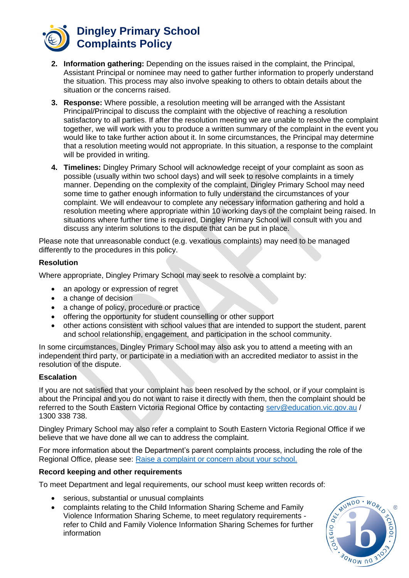

- **2. Information gathering:** Depending on the issues raised in the complaint, the Principal, Assistant Principal or nominee may need to gather further information to properly understand the situation. This process may also involve speaking to others to obtain details about the situation or the concerns raised.
- **3. Response:** Where possible, a resolution meeting will be arranged with the Assistant Principal/Principal to discuss the complaint with the objective of reaching a resolution satisfactory to all parties. If after the resolution meeting we are unable to resolve the complaint together, we will work with you to produce a written summary of the complaint in the event you would like to take further action about it. In some circumstances, the Principal may determine that a resolution meeting would not appropriate. In this situation, a response to the complaint will be provided in writing.
- **4. Timelines:** Dingley Primary School will acknowledge receipt of your complaint as soon as possible (usually within two school days) and will seek to resolve complaints in a timely manner. Depending on the complexity of the complaint, Dingley Primary School may need some time to gather enough information to fully understand the circumstances of your complaint. We will endeavour to complete any necessary information gathering and hold a resolution meeting where appropriate within 10 working days of the complaint being raised. In situations where further time is required, Dingley Primary School will consult with you and discuss any interim solutions to the dispute that can be put in place.

Please note that unreasonable conduct (e.g. vexatious complaints) may need to be managed differently to the procedures in this policy.

#### **Resolution**

Where appropriate, Dingley Primary School may seek to resolve a complaint by:

- an apology or expression of regret
- a change of decision
- a change of policy, procedure or practice
- offering the opportunity for student counselling or other support
- other actions consistent with school values that are intended to support the student, parent and school relationship, engagement, and participation in the school community.

In some circumstances, Dingley Primary School may also ask you to attend a meeting with an independent third party, or participate in a mediation with an accredited mediator to assist in the resolution of the dispute.

#### **Escalation**

If you are not satisfied that your complaint has been resolved by the school, or if your complaint is about the Principal and you do not want to raise it directly with them, then the complaint should be referred to the South Eastern Victoria Regional Office by contacting [serv@education.vic.gov.au](mailto:serv@education.vic.gov.au) / 1300 338 738.

Dingley Primary School may also refer a complaint to South Eastern Victoria Regional Office if we believe that we have done all we can to address the complaint.

For more information about the Department's parent complaints process, including the role of the Regional Office, please see: [Raise a complaint or concern about your school.](https://www.vic.gov.au/raise-complaint-or-concern-about-your-school#speaking-to-your-school)

#### **Record keeping and other requirements**

To meet Department and legal requirements, our school must keep written records of:

- serious, substantial or unusual complaints
- complaints relating to the Child Information Sharing Scheme and Family Violence Information Sharing Scheme, to meet regulatory requirements refer to Child and Family Violence Information Sharing Schemes for further information

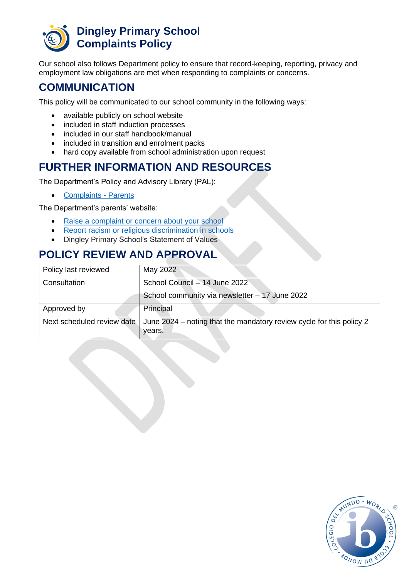

Our school also follows Department policy to ensure that record-keeping, reporting, privacy and employment law obligations are met when responding to complaints or concerns.

### **COMMUNICATION**

This policy will be communicated to our school community in the following ways:

- available publicly on school website
- included in staff induction processes
- included in our staff handbook/manual
- included in transition and enrolment packs
- hard copy available from school administration upon request

### **FURTHER INFORMATION AND RESOURCES**

The Department's Policy and Advisory Library (PAL):

• [Complaints -](https://www2.education.vic.gov.au/pal/complaints/policy) Parents

The Department's parents' website:

- [Raise a complaint or concern about your school](https://www.vic.gov.au/raise-complaint-or-concern-about-your-school)
- [Report racism or religious discrimination in schools](https://www.vic.gov.au/report-racism-or-religious-discrimination-schools)
- Dingley Primary School's Statement of Values

## **POLICY REVIEW AND APPROVAL**

| Policy last reviewed       | May 2022                                                                       |
|----------------------------|--------------------------------------------------------------------------------|
| Consultation               | School Council - 14 June 2022                                                  |
|                            | School community via newsletter - 17 June 2022                                 |
| Approved by                | Principal                                                                      |
| Next scheduled review date | June 2024 – noting that the mandatory review cycle for this policy 2<br>years. |